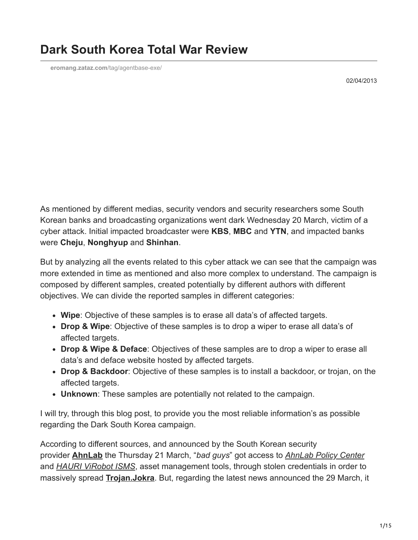**[eromang.zataz.com](https://eromang.zataz.com/tag/agentbase-exe/)**/tag/agentbase-exe/

02/04/2013

As mentioned by different medias, security vendors and security researchers some South Korean banks and broadcasting organizations went dark Wednesday 20 March, victim of a cyber attack. Initial impacted broadcaster were **KBS**, **MBC** and **YTN**, and impacted banks were **Cheju**, **Nonghyup** and **Shinhan**.

But by analyzing all the events related to this cyber attack we can see that the campaign was more extended in time as mentioned and also more complex to understand. The campaign is composed by different samples, created potentially by different authors with different objectives. We can divide the reported samples in different categories:

- **Wipe**: Objective of these samples is to erase all data's of affected targets.
- **Drop & Wipe**: Objective of these samples is to drop a wiper to erase all data's of affected targets.
- **Drop & Wipe & Deface**: Objectives of these samples are to drop a wiper to erase all data's and deface website hosted by affected targets.
- **Drop & Backdoor**: Objective of these samples is to install a backdoor, or trojan, on the affected targets.
- **Unknown**: These samples are potentially not related to the campaign.

I will try, through this blog post, to provide you the most reliable information's as possible regarding the Dark South Korea campaign.

According to different sources, and announced by the South Korean security provider **[AhnLab](https://marketwire.com/press-release/media-alert-hackers-set-time-bomb-set-damage-targeted-banks-broadcasters-south-korea-kosdaq-053800-1771229.htm)** the Thursday 21 March, "*bad guys*" got access to *[AhnLab Policy Center](https://global.ahnlab.com/en/site/product/productSubDetail.do?prod_type=NM&prod_class=N&prod_seq=502)* and *[HAURI ViRobot ISMS](http://www.globalhauri.com/product/product_view.html?product_uid=NDc=)*, asset management tools, through stolen credentials in order to massively spread **[Trojan.Jokra](https://www.symantec.com/security_response/writeup.jsp?docid=2013-032014-2531-99)**. But, regarding the latest news announced the 29 March, it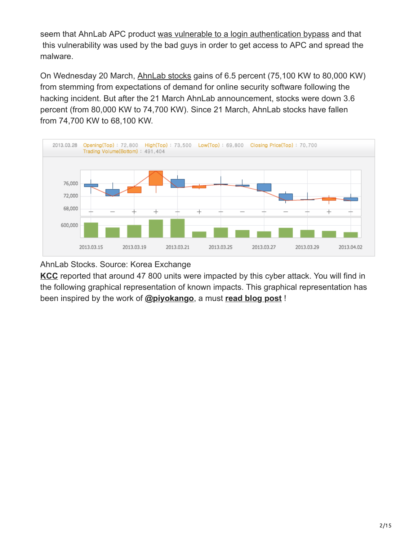seem that AhnLab APC product [was vulnerable to a login authentication bypass](http://blog.ahnlab.com/ahnlab/tag/339#entry_1732) and that this vulnerability was used by the bad guys in order to get access to APC and spread the malware.

On Wednesday 20 March, [AhnLab stocks](http://eng.krx.co.kr/por_eng/m2/m2_1/m2_1_3/JHPENG02001_03.jsp) gains of 6.5 percent (75,100 KW to 80,000 KW) from stemming from expectations of demand for online security software following the hacking incident. But after the 21 March AhnLab announcement, stocks were down 3.6 percent (from 80,000 KW to 74,700 KW). Since 21 March, AhnLab stocks have fallen from 74,700 KW to 68,100 KW.



AhnLab Stocks. Source: Korea Exchange

**[KCC](http://www.kcc.go.kr/user.do)** reported that around 47 800 units were impacted by this cyber attack. You will find in the following graphical representation of known impacts. This graphical representation has been inspired by the work of **[@piyokango](https://twitter.com/piyokango)**, a must **[read blog post](http://d.hatena.ne.jp/Kango/20130323)** !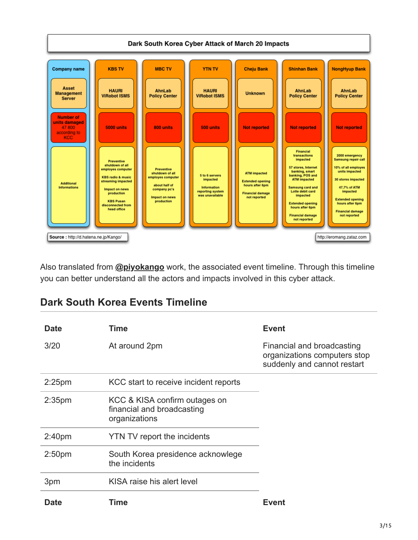

Also translated from **[@piyokango](https://twitter.com/piyokango)** work, the associated event timeline. Through this timeline you can better understand all the actors and impacts involved in this cyber attack.

| <b>Dark South Korea Events Timeline</b> |
|-----------------------------------------|
|-----------------------------------------|

| <b>Date</b>        | Time                                                                         | <b>Event</b>                                                                              |
|--------------------|------------------------------------------------------------------------------|-------------------------------------------------------------------------------------------|
| 3/20               | At around 2pm                                                                | Financial and broadcasting<br>organizations computers stop<br>suddenly and cannot restart |
| $2:25$ pm          | KCC start to receive incident reports                                        |                                                                                           |
| 2:35 <sub>pm</sub> | KCC & KISA confirm outages on<br>financial and broadcasting<br>organizations |                                                                                           |
| 2:40 <sub>pm</sub> | YTN TV report the incidents                                                  |                                                                                           |
| 2:50 <sub>pm</sub> | South Korea presidence acknowlege<br>the incidents                           |                                                                                           |
| 3pm                | KISA raise his alert level                                                   |                                                                                           |
| <b>Date</b>        | Time                                                                         | Event                                                                                     |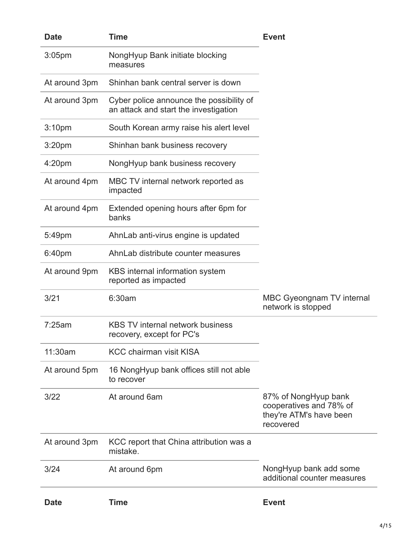| <b>Date</b>        | Time                                                                              | <b>Event</b>                                                                            |
|--------------------|-----------------------------------------------------------------------------------|-----------------------------------------------------------------------------------------|
| 3:05pm             | NongHyup Bank initiate blocking<br>measures                                       |                                                                                         |
| At around 3pm      | Shinhan bank central server is down                                               |                                                                                         |
| At around 3pm      | Cyber police announce the possibility of<br>an attack and start the investigation |                                                                                         |
| 3:10pm             | South Korean army raise his alert level                                           |                                                                                         |
| 3:20 <sub>pm</sub> | Shinhan bank business recovery                                                    |                                                                                         |
| 4:20pm             | NongHyup bank business recovery                                                   |                                                                                         |
| At around 4pm      | MBC TV internal network reported as<br>impacted                                   |                                                                                         |
| At around 4pm      | Extended opening hours after 6pm for<br>banks                                     |                                                                                         |
| 5:49pm             | AhnLab anti-virus engine is updated                                               |                                                                                         |
| 6:40pm             | AhnLab distribute counter measures                                                |                                                                                         |
| At around 9pm      | KBS internal information system<br>reported as impacted                           |                                                                                         |
| 3/21               | 6:30am                                                                            | MBC Gyeongnam TV internal<br>network is stopped                                         |
| 7:25am             | <b>KBS TV internal network business</b><br>recovery, except for PC's              |                                                                                         |
| 11:30am            | <b>KCC chairman visit KISA</b>                                                    |                                                                                         |
| At around 5pm      | 16 NongHyup bank offices still not able<br>to recover                             |                                                                                         |
| 3/22               | At around 6am                                                                     | 87% of NongHyup bank<br>cooperatives and 78% of<br>they're ATM's have been<br>recovered |
| At around 3pm      | KCC report that China attribution was a<br>mistake.                               |                                                                                         |
| 3/24               | At around 6pm                                                                     | NongHyup bank add some<br>additional counter measures                                   |
| <b>Date</b>        | <b>Time</b>                                                                       | <b>Event</b>                                                                            |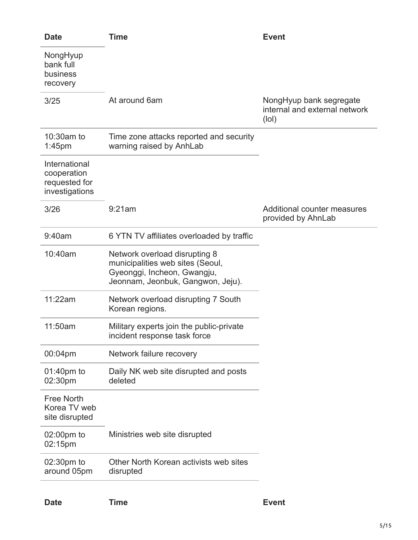| <b>Date</b>                                                     | <b>Time</b>                                                                                                                           | <b>Event</b>                                                      |
|-----------------------------------------------------------------|---------------------------------------------------------------------------------------------------------------------------------------|-------------------------------------------------------------------|
| NongHyup<br>bank full<br>business<br>recovery                   |                                                                                                                                       |                                                                   |
| 3/25                                                            | At around 6am                                                                                                                         | NongHyup bank segregate<br>internal and external network<br>(Iol) |
| 10:30am to<br>1:45 <sub>pm</sub>                                | Time zone attacks reported and security<br>warning raised by AnhLab                                                                   |                                                                   |
| International<br>cooperation<br>requested for<br>investigations |                                                                                                                                       |                                                                   |
| 3/26                                                            | 9:21am                                                                                                                                | Additional counter measures<br>provided by AhnLab                 |
| 9:40am                                                          | 6 YTN TV affiliates overloaded by traffic                                                                                             |                                                                   |
| 10:40am                                                         | Network overload disrupting 8<br>municipalities web sites (Seoul,<br>Gyeonggi, Incheon, Gwangju,<br>Jeonnam, Jeonbuk, Gangwon, Jeju). |                                                                   |
| 11:22am                                                         | Network overload disrupting 7 South<br>Korean regions.                                                                                |                                                                   |
| 11:50am                                                         | Military experts join the public-private<br>incident response task force                                                              |                                                                   |
| 00:04pm                                                         | Network failure recovery                                                                                                              |                                                                   |
| 01:40pm to<br>02:30pm                                           | Daily NK web site disrupted and posts<br>deleted                                                                                      |                                                                   |
| <b>Free North</b><br>Korea TV web<br>site disrupted             |                                                                                                                                       |                                                                   |
| 02:00pm to<br>02:15pm                                           | Ministries web site disrupted                                                                                                         |                                                                   |
| 02:30pm to<br>around 05pm                                       | Other North Korean activists web sites<br>disrupted                                                                                   |                                                                   |
|                                                                 |                                                                                                                                       |                                                                   |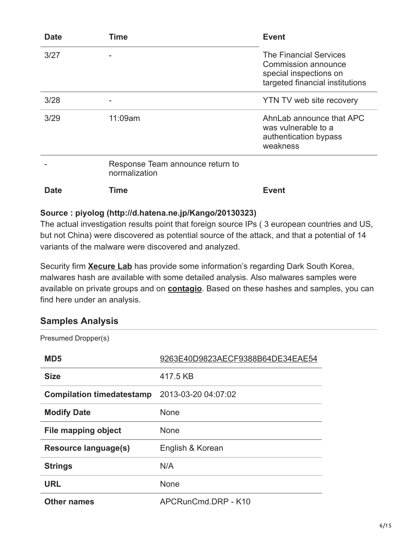| <b>Date</b> | Time                                              | <b>Event</b>                                                                                                      |
|-------------|---------------------------------------------------|-------------------------------------------------------------------------------------------------------------------|
| 3/27        |                                                   | <b>The Financial Services</b><br>Commission announce<br>special inspections on<br>targeted financial institutions |
| 3/28        |                                                   | YTN TV web site recovery                                                                                          |
| 3/29        | 11:09am                                           | AhnLab announce that APC<br>was vulnerable to a<br>authentication bypass<br>weakness                              |
|             | Response Team announce return to<br>normalization |                                                                                                                   |
| Date        | Time                                              | <b>Event</b>                                                                                                      |

## **Source : piyolog (http://d.hatena.ne.jp/Kango/20130323)**

The actual investigation results point that foreign source IPs ( 3 european countries and US, but not China) were discovered as potential source of the attack, and that a potential of 14 variants of the malware were discovered and analyzed.

Security firm **[Xecure Lab](http://blog.xecure-lab.com/2013/03/lets-gossip-what-happens-in-south-korea.html)** has provide some information's regarding Dark South Korea, malwares hash are available with some detailed analysis. Also malwares samples were available on private groups and on **[contagio](https://contagiodump.blogspot.tw/2013/03/darkseoul-jokra-mbr-wiper-samples.html)**. Based on these hashes and samples, you can find here under an analysis.

## **Samples Analysis**

| Presumed Dropper(s)              |                                  |
|----------------------------------|----------------------------------|
| MD <sub>5</sub>                  | 9263E40D9823AECF9388B64DE34EAE54 |
| <b>Size</b>                      | 417.5 KB                         |
| <b>Compilation timedatestamp</b> | 2013-03-20 04:07:02              |
| <b>Modify Date</b>               | None                             |
| <b>File mapping object</b>       | None                             |
| <b>Resource language(s)</b>      | English & Korean                 |
| <b>Strings</b>                   | N/A                              |
| <b>URL</b>                       | None                             |
| <b>Other names</b>               | APCRunCmd.DRP - K10              |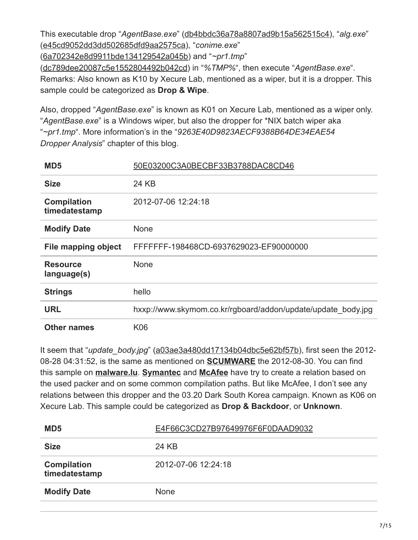This executable drop "*AgentBase.exe*" ([db4bbdc36a78a8807ad9b15a562515c4\)](https://www.virustotal.com/en/file/d7a71f83d576fdf75e7978539bac04ad8b6605207b29379b89c24c0d0f31da61/analysis/), "*alg.exe*" ([e45cd9052dd3dd502685dfd9aa2575ca\)](https://www.virustotal.com/en/file/6f2fb4151f26ff8b735c197da6143284a75bf2e1625c43d8c15a712ab130c3cd/analysis/), "*conime.exe*" ([6a702342e8d9911bde134129542a045b\)](https://www.virustotal.com/en/file/bd997996da77811f87c5fd8eeef1f61af6a3d7284ac38b797a6924764cc231e5/analysis/) and "*~pr1.tmp*" ([dc789dee20087c5e1552804492b042cd](https://www.virustotal.com/en/file/969b970de885b0cfc22d40c08dbf57a850e2c70e369719ecb2b3198888b28d05/analysis/)) in "*%TMP%*", then execute "*AgentBase.exe*". Remarks: Also known as K10 by Xecure Lab, mentioned as a wiper, but it is a dropper. This sample could be categorized as **Drop & Wipe**.

Also, dropped "*AgentBase.exe*" is known as K01 on Xecure Lab, mentioned as a wiper only. "*AgentBase.exe*" is a Windows wiper, but also the dropper for \*NIX batch wiper aka "*~pr1.tmp*". More information's in the "*9263E40D9823AECF9388B64DE34EAE54 Dropper Analysis*" chapter of this blog.

| MD <sub>5</sub>                     | 50E03200C3A0BECBF33B3788DAC8CD46                             |
|-------------------------------------|--------------------------------------------------------------|
| <b>Size</b>                         | 24 KB                                                        |
| <b>Compilation</b><br>timedatestamp | 2012-07-06 12:24:18                                          |
| <b>Modify Date</b>                  | <b>None</b>                                                  |
| File mapping object                 | FFFFFFF-198468CD-6937629023-EF90000000                       |
| <b>Resource</b><br>language(s)      | <b>None</b>                                                  |
| <b>Strings</b>                      | hello                                                        |
| <b>URL</b>                          | hxxp://www.skymom.co.kr/rgboard/addon/update/update_body.jpg |
| <b>Other names</b>                  | K06                                                          |

It seem that "*update\_body.jpg*" [\(a03ae3a480dd17134b04dbc5e62bf57b\)](https://www.virustotal.com/en/file/6724c041fe0df61a619006bf1df4a759f4f22a65e2afda32501760ebc9ebe25d/analysis/), first seen the 2012- 08-28 04:31:52, is the same as mentioned on **[SCUMWARE](http://www.scumware.org/report/218.145.65.201)** the 2012-08-30. You can find this sample on **[malware.lu](http://www.malware.lu/)**. **[Symantec](https://www.symantec.com/connect/blogs/are-2011-and-2013-south-korean-cyber-attacks-related)** and **[McAfee](https://blogs.mcafee.com/mcafee-labs/south-korean-banks-media-companies-targeted-by-destructive-malware)** have try to create a relation based on the used packer and on some common compilation paths. But like McAfee, I don't see any relations between this dropper and the 03.20 Dark South Korea campaign. Known as K06 on Xecure Lab. This sample could be categorized as **Drop & Backdoor**, or **Unknown**.

| MD <sub>5</sub>                     | E4F66C3CD27B97649976F6F0DAAD9032 |
|-------------------------------------|----------------------------------|
| <b>Size</b>                         | 24 KB                            |
| <b>Compilation</b><br>timedatestamp | 2012-07-06 12:24:18              |
| <b>Modify Date</b>                  | <b>None</b>                      |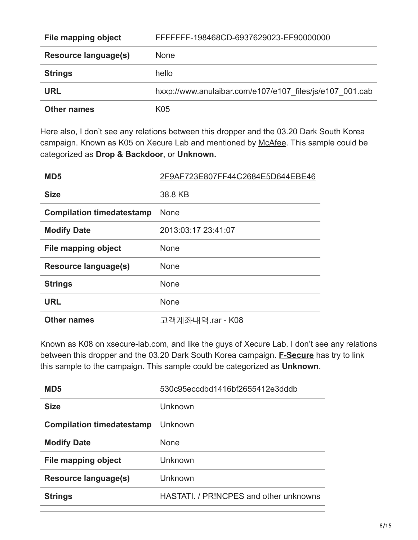| File mapping object         | FFFFFFF-198468CD-6937629023-EF90000000                   |
|-----------------------------|----------------------------------------------------------|
| <b>Resource language(s)</b> | <b>None</b>                                              |
| <b>Strings</b>              | hello                                                    |
| <b>URL</b>                  | hxxp://www.anulaibar.com/e107/e107 files/js/e107 001.cab |
| <b>Other names</b>          | K05                                                      |

Here also, I don't see any relations between this dropper and the 03.20 Dark South Korea campaign. Known as K05 on Xecure Lab and mentioned by [McAfee](https://blogs.mcafee.com/mcafee-labs/south-korean-banks-media-companies-targeted-by-destructive-malware). This sample could be categorized as **Drop & Backdoor**, or **Unknown.**

| MD <sub>5</sub>                  | 2F9AF723E807FF44C2684E5D644EBE46 |
|----------------------------------|----------------------------------|
| <b>Size</b>                      | 38.8 KB                          |
| <b>Compilation timedatestamp</b> | <b>None</b>                      |
| <b>Modify Date</b>               | 2013:03:17 23:41:07              |
| File mapping object              | <b>None</b>                      |
| Resource language(s)             | <b>None</b>                      |
| <b>Strings</b>                   | <b>None</b>                      |
| <b>URL</b>                       | <b>None</b>                      |
| <b>Other names</b>               | 고객계좌내역.rar - K08                 |

Known as K08 on xsecure-lab.com, and like the guys of Xecure Lab. I don't see any relations between this dropper and the 03.20 Dark South Korea campaign. **[F-Secure](http://www.f-secure.com/weblog/archives/00002531.html)** has try to link this sample to the campaign. This sample could be categorized as **Unknown**.

| MD <sub>5</sub>                  | 530c95eccdbd1416bf2655412e3dddb        |
|----------------------------------|----------------------------------------|
| <b>Size</b>                      | Unknown                                |
| <b>Compilation timedatestamp</b> | Unknown                                |
| <b>Modify Date</b>               | <b>None</b>                            |
| File mapping object              | Unknown                                |
| Resource language(s)             | Unknown                                |
| <b>Strings</b>                   | HASTATI, / PRINCPES and other unknowns |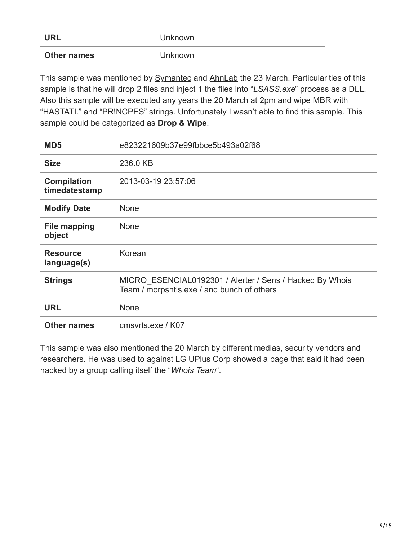| <b>URL</b>         | <b>Unknown</b> |
|--------------------|----------------|
| <b>Other names</b> | <b>Unknown</b> |

This sample was mentioned by **[Symantec](https://www.symantec.com/connect/blogs/different-wipers-identified-south-korean-cyber-attack) and AhnLab** the 23 March. Particularities of this sample is that he will drop 2 files and inject 1 the files into "*LSASS.exe*" process as a DLL. Also this sample will be executed any years the 20 March at 2pm and wipe MBR with "HASTATI." and "PR!NCPES" strings. Unfortunately I wasn't able to find this sample. This sample could be categorized as **Drop & Wipe**.

| MD <sub>5</sub>                     | e823221609b37e99fbbce5b493a02f68                                                                       |  |
|-------------------------------------|--------------------------------------------------------------------------------------------------------|--|
| <b>Size</b>                         | 236.0 KB                                                                                               |  |
| <b>Compilation</b><br>timedatestamp | 2013-03-19 23:57:06                                                                                    |  |
| <b>Modify Date</b>                  | <b>None</b>                                                                                            |  |
| <b>File mapping</b><br>object       | <b>None</b>                                                                                            |  |
| <b>Resource</b><br>language(s)      | Korean                                                                                                 |  |
| <b>Strings</b>                      | MICRO ESENCIAL0192301 / Alerter / Sens / Hacked By Whois<br>Team / morpsntls.exe / and bunch of others |  |
| <b>URL</b>                          | <b>None</b>                                                                                            |  |
| <b>Other names</b>                  | cmsvrts.exe / K07                                                                                      |  |

This sample was also mentioned the 20 March by different medias, security vendors and researchers. He was used to against LG UPlus Corp showed a page that said it had been hacked by a group calling itself the "*Whois Team*".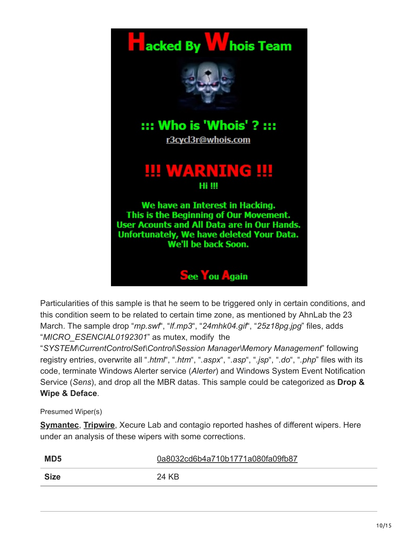

Particularities of this sample is that he seem to be triggered only in certain conditions, and this condition seem to be related to certain time zone, as mentioned by AhnLab the 23 March. The sample drop "*mp.swf*", "*lf.mp3*", "*24mhk04.gif*", "*25z18pg.jpg*" files, adds "*MICRO\_ESENCIAL0192301*" as mutex, modify the

"*SYSTEM\CurrentControlSet\Control\Session Manager\Memory Management*" following registry entries, overwrite all ".*html*", "*.htm*", "*.aspx*", "*.asp*", "*.jsp*", "*.do*", "*.php*" files with its code, terminate Windows Alerter service (*Alerter*) and Windows System Event Notification Service (*Sens*), and drop all the MBR datas. This sample could be categorized as **Drop & Wipe & Deface**.

Presumed Wiper(s)

**[Symantec](https://www.symantec.com/connect/blogs/different-wipers-identified-south-korean-cyber-attack)**, **[Tripwire](https://www.tripwire.com/state-of-security/it-security-data-protection/cyber-security/south-korean-attack-malware-analysis/)**, Xecure Lab and contagio reported hashes of different wipers. Here under an analysis of these wipers with some corrections.

| MD <sub>5</sub> | 0a8032cd6b4a710b1771a080fa09fb87 |
|-----------------|----------------------------------|
| <b>Size</b>     | 24 KB                            |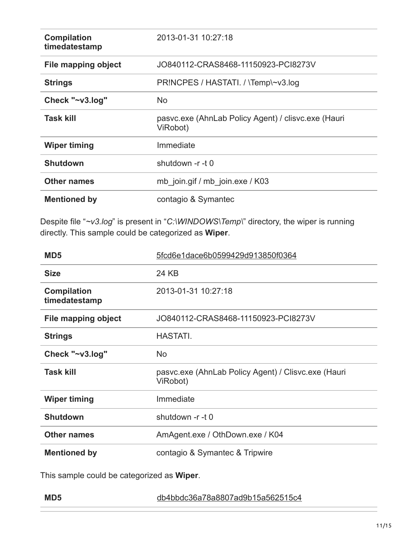| <b>Compilation</b><br>timedatestamp | 2013-01-31 10:27:18                                             |  |
|-------------------------------------|-----------------------------------------------------------------|--|
| File mapping object                 | JO840112-CRAS8468-11150923-PCI8273V                             |  |
| <b>Strings</b>                      | PRINCPES / HASTATI. / \Temp\~v3.log                             |  |
| Check "~v3.log"                     | <b>No</b>                                                       |  |
| <b>Task kill</b>                    | pasvc.exe (AhnLab Policy Agent) / clisvc.exe (Hauri<br>ViRobot) |  |
| <b>Wiper timing</b>                 | Immediate                                                       |  |
| <b>Shutdown</b>                     | shutdown -r -t 0                                                |  |
| <b>Other names</b>                  | mb join.gif / mb join.exe / K03                                 |  |
| <b>Mentioned by</b>                 | contagio & Symantec                                             |  |

Despite file "*~v3.log*" is present in "*C:\WINDOWS\Temp\*" directory, the wiper is running directly. This sample could be categorized as **Wiper**.

| MD <sub>5</sub>                     | 5fcd6e1dace6b0599429d913850f0364                                |  |  |
|-------------------------------------|-----------------------------------------------------------------|--|--|
| <b>Size</b>                         | 24 KB                                                           |  |  |
| <b>Compilation</b><br>timedatestamp | 2013-01-31 10:27:18                                             |  |  |
| <b>File mapping object</b>          | JO840112-CRAS8468-11150923-PCI8273V                             |  |  |
| <b>Strings</b>                      | <b>HASTATI.</b>                                                 |  |  |
| Check "~v3.log"                     | <b>No</b>                                                       |  |  |
| <b>Task kill</b>                    | pasvc.exe (AhnLab Policy Agent) / Clisvc.exe (Hauri<br>ViRobot) |  |  |
| <b>Wiper timing</b>                 | Immediate                                                       |  |  |
| <b>Shutdown</b>                     | shutdown -r -t 0                                                |  |  |
| <b>Other names</b>                  | AmAgent.exe / OthDown.exe / K04                                 |  |  |
| <b>Mentioned by</b>                 | contagio & Symantec & Tripwire                                  |  |  |

This sample could be categorized as **Wiper**.

| MD <sub>5</sub> | db4bbdc36a78a8807ad9b15a562515c4 |
|-----------------|----------------------------------|
|                 |                                  |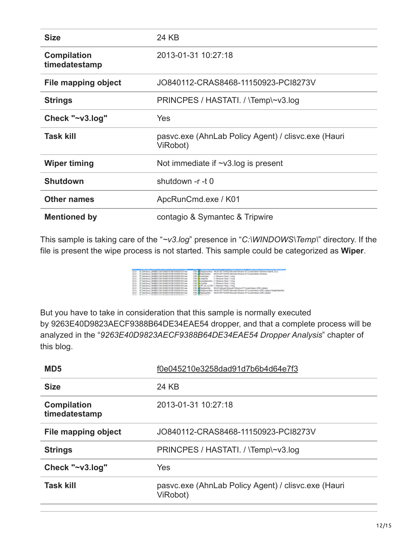| <b>Size</b>                         | 24 KB                                                           |  |  |
|-------------------------------------|-----------------------------------------------------------------|--|--|
| <b>Compilation</b><br>timedatestamp | 2013-01-31 10:27:18                                             |  |  |
| <b>File mapping object</b>          | JO840112-CRAS8468-11150923-PCI8273V                             |  |  |
| <b>Strings</b>                      | PRINCPES / HASTATI. / \Temp\~v3.log                             |  |  |
| Check "~v3.log"                     | Yes                                                             |  |  |
| <b>Task kill</b>                    | pasyc.exe (AhnLab Policy Agent) / clisyc.exe (Hauri<br>ViRobot) |  |  |
| <b>Wiper timing</b>                 | Not immediate if $\sim$ v3 log is present                       |  |  |
| <b>Shutdown</b>                     | shutdown -r -t 0                                                |  |  |
| <b>Other names</b>                  | ApcRunCmd.exe / K01                                             |  |  |
| <b>Mentioned by</b>                 | contagio & Symantec & Tripwire                                  |  |  |

This sample is taking care of the "*~v3.log*" presence in "*C:\WINDOWS\Temp\*" directory. If the file is present the wipe process is not started. This sample could be categorized as **Wiper**.

| <b>SPIRE AT END WAS CONSIDERED AND A DISCUSSION OF A 444</b> | 1700 - Regisse/Vikin (III) (IF St): Terrific Mossult (Michael NTC) methodoxi (Michael Againt DL)) |
|--------------------------------------------------------------|---------------------------------------------------------------------------------------------------|
| 2013 - # EarkSmal DEGEOCOU/TAMESTADRE AMERIKE Lear           | T10 ChrySophy HGM ADFTV/MEMercal Median NT Contribution Medican                                   |
| 22.21 V. DarkSenal CORRECCTRA/SADE/TACOE SASES FICA and      | 1700 Britan Committee Committee Committee                                                         |
| 22-21 W. EurkSena, OB4880CO6A78486TAD9B154562519D4.exe       | 2700 McCrostollan<br>C fallestown Camp (1938)                                                     |
| 22.21  # Davidson DEGENCOUNTABERCOE SAMORTICA exe-           | 2700 McGameRassiche, C. Windows Came ("villege                                                    |
| 22:21 W ExkSour, 08480C36A78400TA00815A562510Aaa             | Crishedowe Fame / within<br>1700 McDonaldo                                                        |
| 2010  # Task land CB/BBCC KN/MARTACHE AMAZERC Lase           | 2700 MLPP MJ CLOSE C (Mindson/Zany//village                                                       |
| 22.21  A DarkSmud CID-RECCORATEABETACOR DASAUT TECA and      | 1700 Christmas W.H.M.Magazi Monat Madaga NT Constitutor (28) 14:4:4                               |
| 22:21 W. Everland, OB4880CO6A7MAN/TADNE-SAN2519DA.au         | T18 BagSun/Aka INUASS/TV/ATC/Across Hindow NTCure/Oescri-OIE Inteks/Doddedas/Across               |
| 2011  IF DarkSmul DE/BECC BATASECTAORE BANZE TECLINA         | 2700 Bally Grantey HIGH-ADFTV/HRD Shawaii (Medeca ST Correlation) GRD, Initiate                   |
|                                                              |                                                                                                   |

But you have to take in consideration that this sample is normally executed by 9263E40D9823AECF9388B64DE34EAE54 dropper, and that a complete process will be analyzed in the "*9263E40D9823AECF9388B64DE34EAE54 Dropper Analysis*" chapter of this blog.

| MD <sub>5</sub>                     | f0e045210e3258dad91d7b6b4d64e7f3                                |  |  |
|-------------------------------------|-----------------------------------------------------------------|--|--|
| <b>Size</b>                         | 24 KB                                                           |  |  |
| <b>Compilation</b><br>timedatestamp | 2013-01-31 10:27:18                                             |  |  |
| File mapping object                 | JO840112-CRAS8468-11150923-PCI8273V                             |  |  |
| <b>Strings</b>                      | PRINCPES / HASTATI. / \Temp\~v3.log                             |  |  |
| Check "~v3.log"                     | <b>Yes</b>                                                      |  |  |
| <b>Task kill</b>                    | pasvc.exe (AhnLab Policy Agent) / clisvc.exe (Hauri<br>ViRobot) |  |  |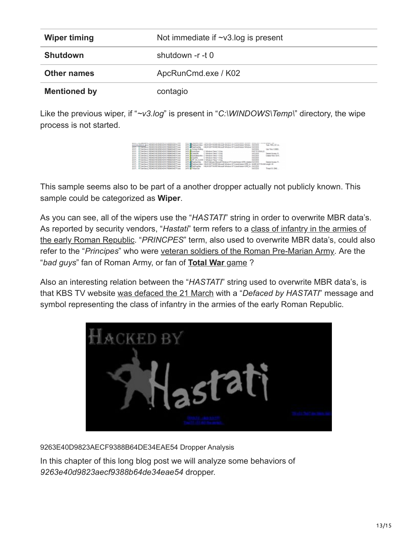| <b>Wiper timing</b> | Not immediate if $\sim$ v3.log is present |  |
|---------------------|-------------------------------------------|--|
| <b>Shutdown</b>     | shutdown -r -t 0                          |  |
| <b>Other names</b>  | ApcRunCmd.exe / K02                       |  |
| <b>Mentioned by</b> | contagio                                  |  |

Like the previous wiper, if "*~v3.log*" is present in "*C:\WINDOWS\Temp\*" directory, the wipe process is not started.

| at Hitte and Hitterwill published State of Fines                                 | ACAN GOT WILL SALTING ARASING TO CURRY ASSAULT MOVIES                                          | <b>GALLERY</b>                          |
|----------------------------------------------------------------------------------|------------------------------------------------------------------------------------------------|-----------------------------------------|
| THE WINDS IN HEATLETING CONTAINS STATES FOR                                      | HEM SIFTWARE Musulm Minds on 10" Current was contained to \$100 ESS.                           |                                         |
| STEP A TOWNALL REPRETOR/INDUSTRIBUTED FOLKS                                      |                                                                                                | WIFTEN                                  |
| 2217   Castlerd RENESTIC/INSAST/TERRATOR/TOwe                                    | <b>SER McGueldiper</b><br>C. Mindows Tengt ("v1 kg)                                            |                                         |
| 22.27 - A Carl Send, FRIDAY/10120224007270884004177.ees                          | C. Mindows Tensi Cy Line<br><b>SET M.Cealchie</b>                                              | <b>SUITES</b>                           |
| 23.25  & Card Send. POSTAGES/STEVEROOT/TERROR/STEVera                            | A Complementary C. (Members) Terra ("vil Au-<br>sem i                                          | <b>SHETRIS</b>                          |
| 23.25 V. Card Smid 93014121012302A000270884CA0EP7.www                            | C. Mindows Terral College<br><b>SER BUSINESS</b>                                               | <b>SACTES</b>                           |
| 23.01 - W Carl Steve ASSIMUTED STANDARD TRANSPARENT Law                          | SER MUSIC AU CLEER C/Mindows/Tenni ("vil.kg                                                    | <b>DATES</b>                            |
| 2327 Vices land REINCREDISON/ASSORIENCE/Films                                    | 140 M Gallyway Rhowald T<br><b>TRINING RT Current lenger GPE</b> Installed CUCCESS             |                                         |
| 2317 - Flowland Ritarchandelphin Belandary Law                                   | PasSan/Vikin 1963/102/TWMD Moment Whiteau NT Carent depart (2021 to: A/B/E1CT FOUG) langity 22 |                                         |
| 23.07 - Wilson's ASSACHED/ADAM BANGARY (ups)                                     | Noticeables P. McM-SIFTWARE Memority advances for Conservational CAE (in  SACLESCO)            |                                         |
| 21.22 William Pro 1990 and 2000 and 2000 and 2000 and 2000 and 2000 and 2000 and |                                                                                                | <b>Manager of the State of</b><br>_____ |

This sample seems also to be part of a another dropper actually not publicly known. This sample could be categorized as **Wiper**.

As you can see, all of the wipers use the "*HASTATI*" string in order to overwrite MBR data's. As reported by security vendors, "*Hastati*[" term refers to a class of infantry in the armies of](http://totalwar.wikia.com/wiki/Hastati) the early Roman Republic. "*PRINCPES*" term, also used to overwrite MBR data's, could also refer to the "*Principes*" who were [veteran soldiers of the Roman Pre-Marian Army.](http://totalwar.wikia.com/wiki/Principes) Are the "*bad guys*" fan of Roman Army, or fan of **[Total War](http://totalwar.wikia.com/wiki/Total_War_Wiki)** game ?

Also an interesting relation between the "*HASTATI*" string used to overwrite MBR data's, is that KBS TV website [was defaced the 21 March](http://www.zdnet.co.kr/news/news_view.asp?artice_id=20130322150751) with a "*Defaced by HASTATI*" message and symbol representing the class of infantry in the armies of the early Roman Republic.



9263E40D9823AECF9388B64DE34EAE54 Dropper Analysis

In this chapter of this long blog post we will analyze some behaviors of *9263e40d9823aecf9388b64de34eae54* dropper.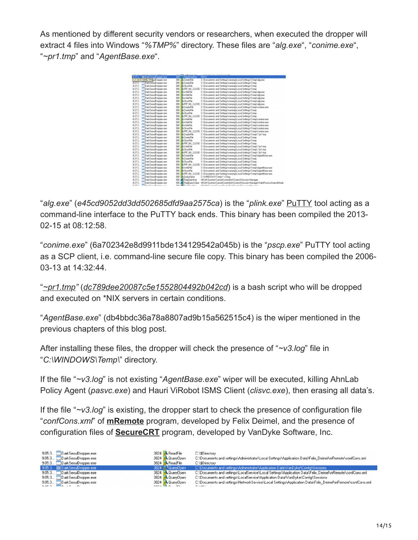As mentioned by different security vendors or researchers, when executed the dropper will extract 4 files into Windows "*%TMP%*" directory. These files are "*alg.exe*", "*conime.exe*", "*~pr1.tmp*" and "*AgentBase.exe*".



"*alg.exe*" (*e45cd9052dd3dd502685dfd9aa2575ca*) is the "*plink.exe*" [PuTTY](http://www.chiark.greenend.org.uk/~sgtatham/putty/download.html) tool acting as a command-line interface to the PuTTY back ends. This binary has been compiled the 2013- 02-15 at 08:12:58.

"*conime.exe*" (6a702342e8d9911bde134129542a045b) is the "*pscp.exe*" PuTTY tool acting as a SCP client, i.e. command-line secure file copy. This binary has been compiled the 2006- 03-13 at 14:32:44.

"*[~pr1.tmp"](https://pastebin.com/QWNJjEtQ)* (*[dc789dee20087c5e1552804492b042cd](https://www.virustotal.com/en/file/969b970de885b0cfc22d40c08dbf57a850e2c70e369719ecb2b3198888b28d05/analysis/1364810714/)*) is a bash script who will be dropped and executed on \*NIX servers in certain conditions.

"*AgentBase.exe*" (db4bbdc36a78a8807ad9b15a562515c4) is the wiper mentioned in the previous chapters of this blog post.

After installing these files, the dropper will check the presence of "*~v3.log*" file in "*C:\WINDOWS\Temp\*" directory.

If the file "*~v3.log*" is not existing "*AgentBase.exe*" wiper will be executed, killing AhnLab Policy Agent (*pasvc.exe*) and Hauri ViRobot ISMS Client (*clisvc.exe*), then erasing all data's.

If the file "*~v3.log*" is existing, the dropper start to check the presence of configuration file "*confCons.xml*" of **[mRemote](http://www.royalts.com/main/home/mRemote.aspx)** program, developed by Felix Deimel, and the presence of configuration files of **[SecureCRT](https://www.vandyke.com/products/securecrt/index.html)** program, developed by VanDyke Software, Inc.

| 9:05:3 DarkSeoulDropper.exe                                             | 3824 ReadFile                                          | C:\\$Directory                                                                                             |
|-------------------------------------------------------------------------|--------------------------------------------------------|------------------------------------------------------------------------------------------------------------|
| 9:05:3 DarkSeoulDropper.exe                                             | 3824 QueryOpen                                         | C:\Documents and settings\Administrator\Local Settings\Application Data\Felix_Deimel\mRemote\confCons.xml  |
| 9:05:3 DarkSeoulDropper.exe                                             | 3824 ReadFile                                          | C:\\$Directory                                                                                             |
| 9:05:3 DarkSeoulDropper.exe                                             | 3824 .QueryDpen                                        | C:\Documents and settings\Administrator\Application Data\VanDyke\Config\Sessions                           |
| 9:05:3 DarkSeoulDropper.exe                                             | 3824 QuervOpen                                         | C:\Documents and settings\LocalService\Local Settings\Application Data\Felix Deimel\mRemote\confCons.xml   |
| 9:05:3 DarkSeoulDropper.exe                                             | 3824 QueryOpen                                         | C:\Documents and settings\LocalService\Application Data\VanDyke\Config\Sessions                            |
| 9:05:3 DarkSeoulDropper.exe                                             | 3824 QueryOpen                                         | C:\Documents and settings\NetworkService\Local Settings\Application Data\Felix_Deimel\mRemote\confCons.xml |
| $0.052$ $\overline{10}$ $\overline{10}$ $\overline{10}$ $\overline{10}$ | $2021$ $\overline{10}$ $\overline{10}$ $\overline{10}$ | CLAD' L                                                                                                    |